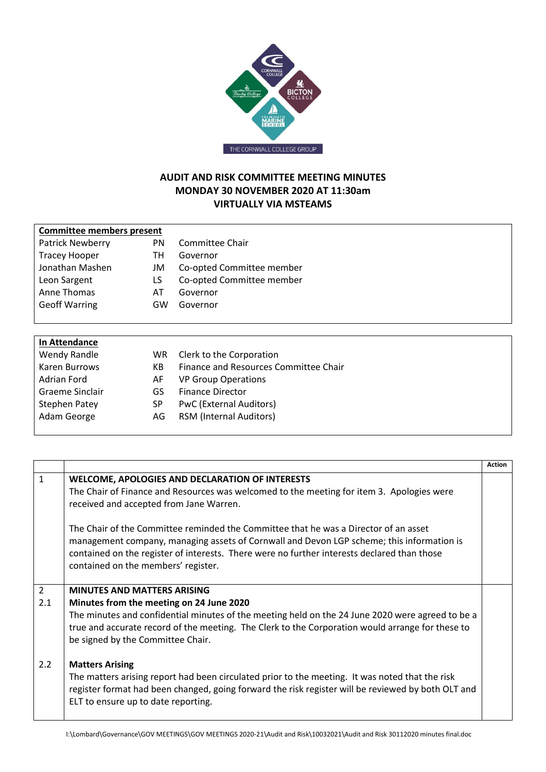

## **AUDIT AND RISK COMMITTEE MEETING MINUTES MONDAY 30 NOVEMBER 2020 AT 11:30am VIRTUALLY VIA MSTEAMS**

| <b>Committee members present</b> |    |                           |
|----------------------------------|----|---------------------------|
| <b>Patrick Newberry</b>          | PN | Committee Chair           |
| <b>Tracey Hooper</b>             | TН | Governor                  |
| Jonathan Mashen                  | JM | Co-opted Committee member |
| Leon Sargent                     | LS | Co-opted Committee member |
| Anne Thomas                      | AT | Governor                  |
| <b>Geoff Warring</b>             | GW | Governor                  |
|                                  |    |                           |
|                                  |    |                           |
|                                  |    |                           |

| In Attendance   |     |                                       |
|-----------------|-----|---------------------------------------|
| Wendy Randle    | WR. | Clerk to the Corporation              |
| Karen Burrows   | KВ  | Finance and Resources Committee Chair |
| Adrian Ford     | AF. | <b>VP Group Operations</b>            |
| Graeme Sinclair | GS  | <b>Finance Director</b>               |
| Stephen Patey   | SP  | <b>PwC</b> (External Auditors)        |
| Adam George     | AG. | <b>RSM (Internal Auditors)</b>        |
|                 |     |                                       |

|                |                                                                                                                                                                                                                                              | <b>Action</b> |
|----------------|----------------------------------------------------------------------------------------------------------------------------------------------------------------------------------------------------------------------------------------------|---------------|
| $\mathbf{1}$   | <b>WELCOME, APOLOGIES AND DECLARATION OF INTERESTS</b><br>The Chair of Finance and Resources was welcomed to the meeting for item 3. Apologies were                                                                                          |               |
|                | received and accepted from Jane Warren.                                                                                                                                                                                                      |               |
|                | The Chair of the Committee reminded the Committee that he was a Director of an asset<br>management company, managing assets of Cornwall and Devon LGP scheme; this information is                                                            |               |
|                | contained on the register of interests. There were no further interests declared than those<br>contained on the members' register.                                                                                                           |               |
| $\overline{2}$ | <b>MINUTES AND MATTERS ARISING</b>                                                                                                                                                                                                           |               |
| 2.1            | Minutes from the meeting on 24 June 2020                                                                                                                                                                                                     |               |
|                | The minutes and confidential minutes of the meeting held on the 24 June 2020 were agreed to be a                                                                                                                                             |               |
|                | true and accurate record of the meeting. The Clerk to the Corporation would arrange for these to<br>be signed by the Committee Chair.                                                                                                        |               |
| 2.2            | <b>Matters Arising</b>                                                                                                                                                                                                                       |               |
|                | The matters arising report had been circulated prior to the meeting. It was noted that the risk<br>register format had been changed, going forward the risk register will be reviewed by both OLT and<br>ELT to ensure up to date reporting. |               |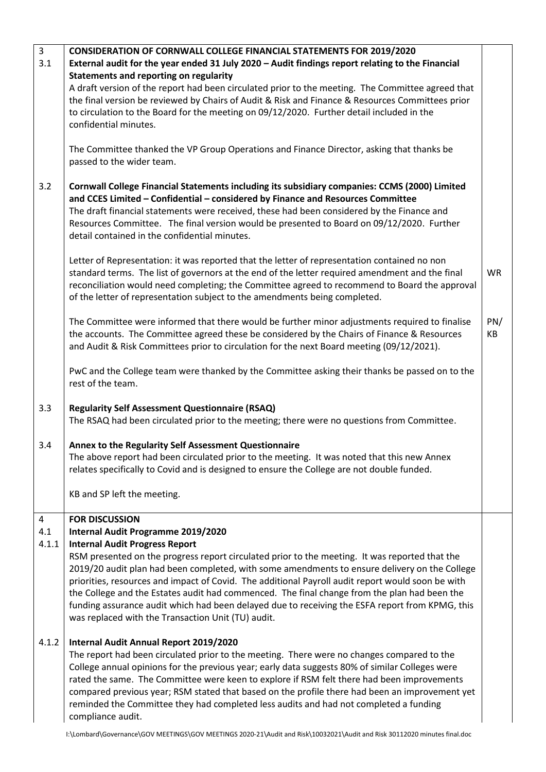| $\overline{3}$        | <b>CONSIDERATION OF CORNWALL COLLEGE FINANCIAL STATEMENTS FOR 2019/2020</b>                       |           |
|-----------------------|---------------------------------------------------------------------------------------------------|-----------|
| 3.1                   | External audit for the year ended 31 July 2020 - Audit findings report relating to the Financial  |           |
|                       | Statements and reporting on regularity                                                            |           |
|                       | A draft version of the report had been circulated prior to the meeting. The Committee agreed that |           |
|                       | the final version be reviewed by Chairs of Audit & Risk and Finance & Resources Committees prior  |           |
|                       | to circulation to the Board for the meeting on 09/12/2020. Further detail included in the         |           |
| confidential minutes. |                                                                                                   |           |
|                       |                                                                                                   |           |
|                       | The Committee thanked the VP Group Operations and Finance Director, asking that thanks be         |           |
|                       | passed to the wider team.                                                                         |           |
|                       |                                                                                                   |           |
| 3.2                   | Cornwall College Financial Statements including its subsidiary companies: CCMS (2000) Limited     |           |
|                       | and CCES Limited - Confidential - considered by Finance and Resources Committee                   |           |
|                       | The draft financial statements were received, these had been considered by the Finance and        |           |
|                       | Resources Committee. The final version would be presented to Board on 09/12/2020. Further         |           |
|                       | detail contained in the confidential minutes.                                                     |           |
|                       |                                                                                                   |           |
|                       | Letter of Representation: it was reported that the letter of representation contained no non      |           |
|                       | standard terms. The list of governors at the end of the letter required amendment and the final   | <b>WR</b> |
|                       | reconciliation would need completing; the Committee agreed to recommend to Board the approval     |           |
|                       | of the letter of representation subject to the amendments being completed.                        |           |
|                       |                                                                                                   |           |
|                       | The Committee were informed that there would be further minor adjustments required to finalise    | PN/       |
|                       | the accounts. The Committee agreed these be considered by the Chairs of Finance & Resources       | KB        |
|                       | and Audit & Risk Committees prior to circulation for the next Board meeting (09/12/2021).         |           |
|                       | PwC and the College team were thanked by the Committee asking their thanks be passed on to the    |           |
|                       | rest of the team.                                                                                 |           |
|                       |                                                                                                   |           |
| 3.3                   | <b>Regularity Self Assessment Questionnaire (RSAQ)</b>                                            |           |
|                       | The RSAQ had been circulated prior to the meeting; there were no questions from Committee.        |           |
|                       |                                                                                                   |           |
| 3.4                   | Annex to the Regularity Self Assessment Questionnaire                                             |           |
|                       | The above report had been circulated prior to the meeting. It was noted that this new Annex       |           |
|                       | relates specifically to Covid and is designed to ensure the College are not double funded.        |           |
|                       |                                                                                                   |           |
|                       | KB and SP left the meeting.                                                                       |           |
|                       |                                                                                                   |           |
| 4                     | <b>FOR DISCUSSION</b>                                                                             |           |
| 4.1                   | Internal Audit Programme 2019/2020                                                                |           |
| 4.1.1                 | <b>Internal Audit Progress Report</b>                                                             |           |
|                       | RSM presented on the progress report circulated prior to the meeting. It was reported that the    |           |
|                       | 2019/20 audit plan had been completed, with some amendments to ensure delivery on the College     |           |
|                       | priorities, resources and impact of Covid. The additional Payroll audit report would soon be with |           |
|                       | the College and the Estates audit had commenced. The final change from the plan had been the      |           |
|                       | funding assurance audit which had been delayed due to receiving the ESFA report from KPMG, this   |           |
|                       | was replaced with the Transaction Unit (TU) audit.                                                |           |
| 4.1.2                 | Internal Audit Annual Report 2019/2020                                                            |           |
|                       | The report had been circulated prior to the meeting. There were no changes compared to the        |           |
|                       | College annual opinions for the previous year; early data suggests 80% of similar Colleges were   |           |
|                       | rated the same. The Committee were keen to explore if RSM felt there had been improvements        |           |
|                       | compared previous year; RSM stated that based on the profile there had been an improvement yet    |           |
|                       | reminded the Committee they had completed less audits and had not completed a funding             |           |
|                       | compliance audit.                                                                                 |           |
|                       |                                                                                                   |           |

I:\Lombard\Governance\GOV MEETINGS\GOV MEETINGS 2020-21\Audit and Risk\10032021\Audit and Risk 30112020 minutes final.doc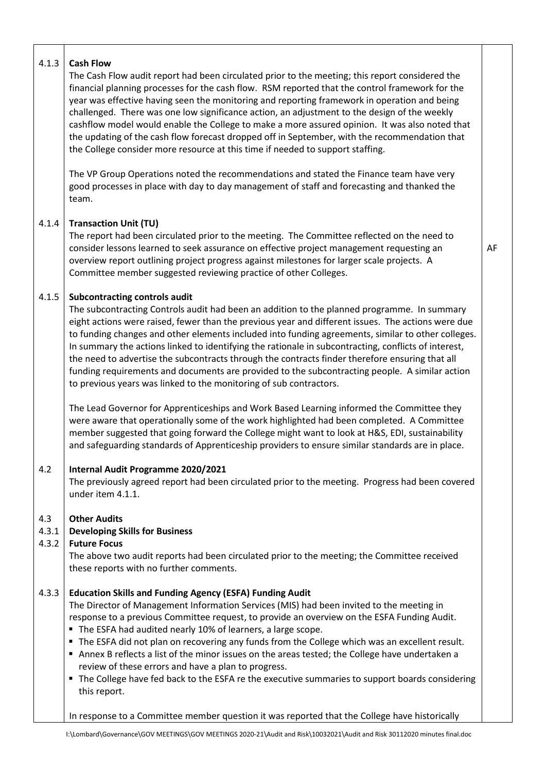| 4.1.3                 | <b>Cash Flow</b><br>The Cash Flow audit report had been circulated prior to the meeting; this report considered the<br>financial planning processes for the cash flow. RSM reported that the control framework for the<br>year was effective having seen the monitoring and reporting framework in operation and being<br>challenged. There was one low significance action, an adjustment to the design of the weekly<br>cashflow model would enable the College to make a more assured opinion. It was also noted that<br>the updating of the cash flow forecast dropped off in September, with the recommendation that<br>the College consider more resource at this time if needed to support staffing.                        |    |
|-----------------------|------------------------------------------------------------------------------------------------------------------------------------------------------------------------------------------------------------------------------------------------------------------------------------------------------------------------------------------------------------------------------------------------------------------------------------------------------------------------------------------------------------------------------------------------------------------------------------------------------------------------------------------------------------------------------------------------------------------------------------|----|
|                       | The VP Group Operations noted the recommendations and stated the Finance team have very<br>good processes in place with day to day management of staff and forecasting and thanked the<br>team.                                                                                                                                                                                                                                                                                                                                                                                                                                                                                                                                    |    |
| 4.1.4                 | <b>Transaction Unit (TU)</b><br>The report had been circulated prior to the meeting. The Committee reflected on the need to<br>consider lessons learned to seek assurance on effective project management requesting an<br>overview report outlining project progress against milestones for larger scale projects. A<br>Committee member suggested reviewing practice of other Colleges.                                                                                                                                                                                                                                                                                                                                          | AF |
| 4.1.5                 | <b>Subcontracting controls audit</b><br>The subcontracting Controls audit had been an addition to the planned programme. In summary<br>eight actions were raised, fewer than the previous year and different issues. The actions were due<br>to funding changes and other elements included into funding agreements, similar to other colleges.<br>In summary the actions linked to identifying the rationale in subcontracting, conflicts of interest,<br>the need to advertise the subcontracts through the contracts finder therefore ensuring that all<br>funding requirements and documents are provided to the subcontracting people. A similar action<br>to previous years was linked to the monitoring of sub contractors. |    |
|                       | The Lead Governor for Apprenticeships and Work Based Learning informed the Committee they<br>were aware that operationally some of the work highlighted had been completed. A Committee<br>member suggested that going forward the College might want to look at H&S, EDI, sustainability<br>and safeguarding standards of Apprenticeship providers to ensure similar standards are in place.                                                                                                                                                                                                                                                                                                                                      |    |
| 4.2                   | Internal Audit Programme 2020/2021<br>The previously agreed report had been circulated prior to the meeting. Progress had been covered<br>under item 4.1.1.                                                                                                                                                                                                                                                                                                                                                                                                                                                                                                                                                                        |    |
| 4.3<br>4.3.1<br>4.3.2 | <b>Other Audits</b><br><b>Developing Skills for Business</b><br><b>Future Focus</b><br>The above two audit reports had been circulated prior to the meeting; the Committee received<br>these reports with no further comments.                                                                                                                                                                                                                                                                                                                                                                                                                                                                                                     |    |
| 4.3.3                 | <b>Education Skills and Funding Agency (ESFA) Funding Audit</b><br>The Director of Management Information Services (MIS) had been invited to the meeting in<br>response to a previous Committee request, to provide an overview on the ESFA Funding Audit.<br>The ESFA had audited nearly 10% of learners, a large scope.<br>" The ESFA did not plan on recovering any funds from the College which was an excellent result.<br>Annex B reflects a list of the minor issues on the areas tested; the College have undertaken a<br>review of these errors and have a plan to progress.<br>" The College have fed back to the ESFA re the executive summaries to support boards considering<br>this report.                          |    |
|                       | In response to a Committee member question it was reported that the College have historically                                                                                                                                                                                                                                                                                                                                                                                                                                                                                                                                                                                                                                      |    |

T

┑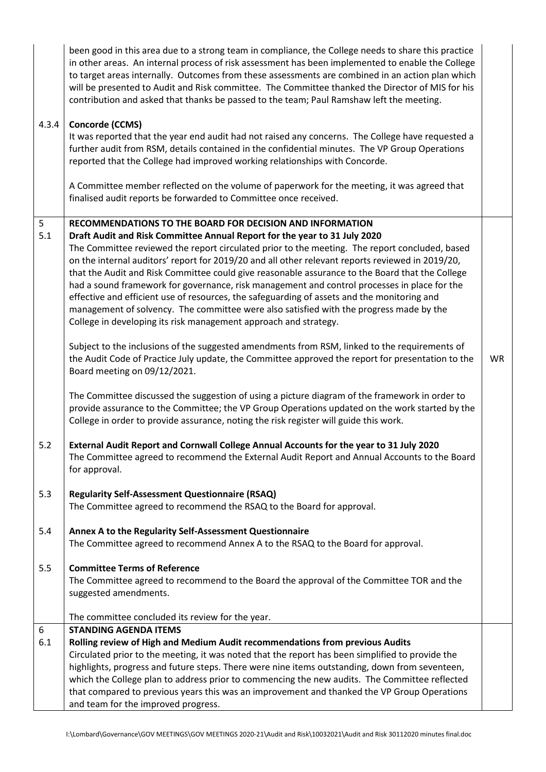|                  | been good in this area due to a strong team in compliance, the College needs to share this practice<br>in other areas. An internal process of risk assessment has been implemented to enable the College<br>to target areas internally. Outcomes from these assessments are combined in an action plan which<br>will be presented to Audit and Risk committee. The Committee thanked the Director of MIS for his<br>contribution and asked that thanks be passed to the team; Paul Ramshaw left the meeting.                                                                                                                                                        |           |
|------------------|---------------------------------------------------------------------------------------------------------------------------------------------------------------------------------------------------------------------------------------------------------------------------------------------------------------------------------------------------------------------------------------------------------------------------------------------------------------------------------------------------------------------------------------------------------------------------------------------------------------------------------------------------------------------|-----------|
| 4.3.4            | <b>Concorde (CCMS)</b>                                                                                                                                                                                                                                                                                                                                                                                                                                                                                                                                                                                                                                              |           |
|                  | It was reported that the year end audit had not raised any concerns. The College have requested a<br>further audit from RSM, details contained in the confidential minutes. The VP Group Operations<br>reported that the College had improved working relationships with Concorde.                                                                                                                                                                                                                                                                                                                                                                                  |           |
|                  | A Committee member reflected on the volume of paperwork for the meeting, it was agreed that<br>finalised audit reports be forwarded to Committee once received.                                                                                                                                                                                                                                                                                                                                                                                                                                                                                                     |           |
| 5                | RECOMMENDATIONS TO THE BOARD FOR DECISION AND INFORMATION                                                                                                                                                                                                                                                                                                                                                                                                                                                                                                                                                                                                           |           |
| 5.1              | Draft Audit and Risk Committee Annual Report for the year to 31 July 2020                                                                                                                                                                                                                                                                                                                                                                                                                                                                                                                                                                                           |           |
|                  | The Committee reviewed the report circulated prior to the meeting. The report concluded, based<br>on the internal auditors' report for 2019/20 and all other relevant reports reviewed in 2019/20,<br>that the Audit and Risk Committee could give reasonable assurance to the Board that the College<br>had a sound framework for governance, risk management and control processes in place for the<br>effective and efficient use of resources, the safeguarding of assets and the monitoring and<br>management of solvency. The committee were also satisfied with the progress made by the<br>College in developing its risk management approach and strategy. |           |
|                  | Subject to the inclusions of the suggested amendments from RSM, linked to the requirements of<br>the Audit Code of Practice July update, the Committee approved the report for presentation to the<br>Board meeting on 09/12/2021.                                                                                                                                                                                                                                                                                                                                                                                                                                  | <b>WR</b> |
|                  | The Committee discussed the suggestion of using a picture diagram of the framework in order to<br>provide assurance to the Committee; the VP Group Operations updated on the work started by the<br>College in order to provide assurance, noting the risk register will guide this work.                                                                                                                                                                                                                                                                                                                                                                           |           |
| 5.2              | External Audit Report and Cornwall College Annual Accounts for the year to 31 July 2020<br>The Committee agreed to recommend the External Audit Report and Annual Accounts to the Board<br>for approval.                                                                                                                                                                                                                                                                                                                                                                                                                                                            |           |
| 5.3              | <b>Regularity Self-Assessment Questionnaire (RSAQ)</b><br>The Committee agreed to recommend the RSAQ to the Board for approval.                                                                                                                                                                                                                                                                                                                                                                                                                                                                                                                                     |           |
| 5.4              | Annex A to the Regularity Self-Assessment Questionnaire<br>The Committee agreed to recommend Annex A to the RSAQ to the Board for approval.                                                                                                                                                                                                                                                                                                                                                                                                                                                                                                                         |           |
| 5.5              | <b>Committee Terms of Reference</b><br>The Committee agreed to recommend to the Board the approval of the Committee TOR and the<br>suggested amendments.                                                                                                                                                                                                                                                                                                                                                                                                                                                                                                            |           |
|                  | The committee concluded its review for the year.                                                                                                                                                                                                                                                                                                                                                                                                                                                                                                                                                                                                                    |           |
| $\boldsymbol{6}$ | <b>STANDING AGENDA ITEMS</b>                                                                                                                                                                                                                                                                                                                                                                                                                                                                                                                                                                                                                                        |           |
| 6.1              | Rolling review of High and Medium Audit recommendations from previous Audits                                                                                                                                                                                                                                                                                                                                                                                                                                                                                                                                                                                        |           |
|                  | Circulated prior to the meeting, it was noted that the report has been simplified to provide the                                                                                                                                                                                                                                                                                                                                                                                                                                                                                                                                                                    |           |
|                  | highlights, progress and future steps. There were nine items outstanding, down from seventeen,                                                                                                                                                                                                                                                                                                                                                                                                                                                                                                                                                                      |           |
|                  | which the College plan to address prior to commencing the new audits. The Committee reflected                                                                                                                                                                                                                                                                                                                                                                                                                                                                                                                                                                       |           |
|                  | that compared to previous years this was an improvement and thanked the VP Group Operations                                                                                                                                                                                                                                                                                                                                                                                                                                                                                                                                                                         |           |
|                  | and team for the improved progress.                                                                                                                                                                                                                                                                                                                                                                                                                                                                                                                                                                                                                                 |           |